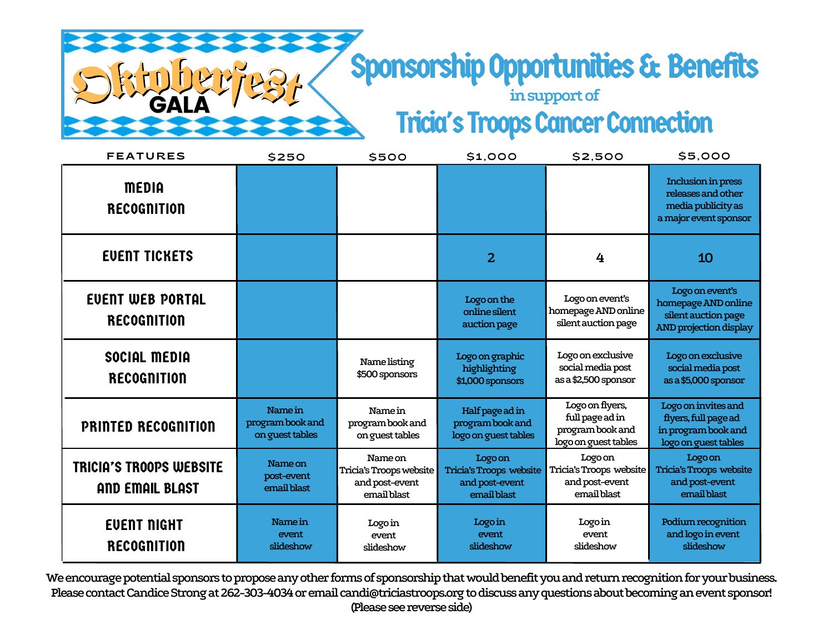## Sponsorship Opportunities & Benefits

**insupportof Tricia's Troops Cancer Connection** 

| <b>FEATURES</b>                                          | \$250                                          | \$500                                                               | \$1,000                                                             | \$2,500                                                                        | \$5,000                                                                                        |
|----------------------------------------------------------|------------------------------------------------|---------------------------------------------------------------------|---------------------------------------------------------------------|--------------------------------------------------------------------------------|------------------------------------------------------------------------------------------------|
| <b>MEDIA</b><br><b>RECOGNITION</b>                       |                                                |                                                                     |                                                                     |                                                                                | Inclusion in press<br>releases and other<br>media publicity as<br>a major event sponsor        |
| <b>EVENT TICKETS</b>                                     |                                                |                                                                     | $\overline{2}$                                                      | 4                                                                              | 10                                                                                             |
| <b>EVENT WEB PORTAL</b><br><b>RECOGNITION</b>            |                                                |                                                                     | Logo on the<br>online silent<br>auction page                        | Logo on event's<br>homepage AND online<br>silent auction page                  | Logo on event's<br>homepage AND online<br>silent auction page<br><b>AND projection display</b> |
| SOCIAL MEDIA<br><b>RECOGNITION</b>                       |                                                | Name listing<br>\$500 sponsors                                      | Logo on graphic<br>highlighting<br>\$1,000 sponsors                 | Logo on exclusive<br>social media post<br>as a \$2,500 sponsor                 | Logo on exclusive<br>social media post<br>as a \$5,000 sponsor                                 |
| <b>PRINTED RECOGNITION</b>                               | Name in<br>program book and<br>on guest tables | Name in<br>program book and<br>on guest tables                      | Half page ad in<br>program book and<br>logo on guest tables         | Logo on flyers,<br>full page ad in<br>program book and<br>logo on guest tables | Logo on invites and<br>flyers, full page ad<br>in program book and<br>logo on guest tables     |
| <b>TRICIA'S TROOPS WEBSITE</b><br><b>AND EMAIL BLAST</b> | Name on<br>post-event<br>email blast           | Name on<br>Tricia's Troops website<br>and post-event<br>email blast | Logo on<br>Tricia's Troops website<br>and post-event<br>email blast | Logo on<br>Tricia's Troops website<br>and post-event<br>email blast            | Logo on<br>Tricia's Troops website<br>and post-event<br>email blast                            |
| <b>EVENT NIGHT</b><br><b>RECOGNITION</b>                 | Name in<br>event<br>slideshow                  | Logo in<br>event<br>slideshow                                       | Logo in<br>event<br>slideshow                                       | Logo in<br>event<br>slideshow                                                  | Podium recognition<br>and logo in event<br>slideshow                                           |

**GALA** 

We encourage potential sponsors to propose any other forms of sponsorship that would benefit you and return recognition for your business. Please contact Candice Strong at 262-303-4034 or email candi@triciastroops.org to discuss any questions about becoming an event sponsor! **(Please see reverse side)**